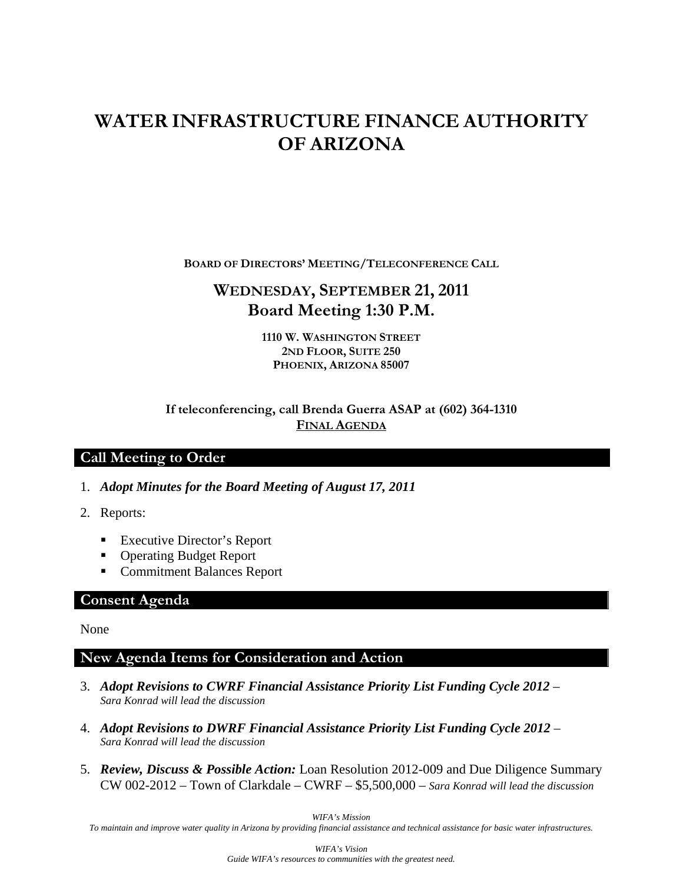# **WATER INFRASTRUCTURE FINANCE AUTHORITY OF ARIZONA**

**BOARD OF DIRECTORS' MEETING/TELECONFERENCE CALL**

# **WEDNESDAY, SEPTEMBER 21, 2011 Board Meeting 1:30 P.M.**

**1110 W. WASHINGTON STREET 2ND FLOOR, SUITE 250 PHOENIX, ARIZONA 85007** 

#### **If teleconferencing, call Brenda Guerra ASAP at (602) 364-1310 FINAL AGENDA**

# **Call Meeting to Order**

- 1. *Adopt Minutes for the Board Meeting of August 17, 2011*
- 2. Reports:
	- Executive Director's Report
	- Operating Budget Report
	- Commitment Balances Report

#### **Consent Agenda**

None

# **New Agenda Items for Consideration and Action**

- 3. *Adopt Revisions to CWRF Financial Assistance Priority List Funding Cycle 2012 Sara Konrad will lead the discussion*
- 4. *Adopt Revisions to DWRF Financial Assistance Priority List Funding Cycle 2012 Sara Konrad will lead the discussion*
- 5. *Review, Discuss & Possible Action:* Loan Resolution 2012-009 and Due Diligence Summary CW 002-2012 – Town of Clarkdale – CWRF – \$5,500,000 – *Sara Konrad will lead the discussion*

*WIFA's Mission* 

*To maintain and improve water quality in Arizona by providing financial assistance and technical assistance for basic water infrastructures.*